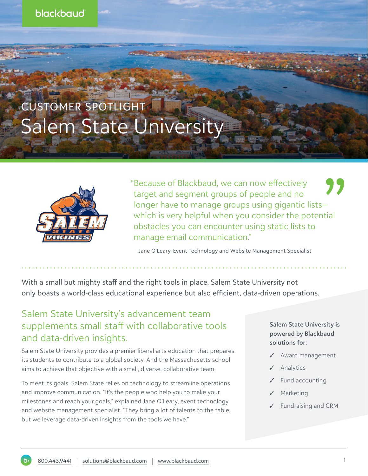

## CUSTOMER SPOTLIGHT Salem State University



"Because of Blackbaud, we can now effectively target and segment groups of people and no longer have to manage groups using gigantic lists which is very helpful when you consider the potential obstacles you can encounter using static lists to manage email communication."

—Jane O'Leary, Event Technology and Website Management Specialist

With a small but mighty staff and the right tools in place, Salem State University not only boasts a world-class educational experience but also efficient, data-driven operations.

## Salem State University's advancement team supplements small staff with collaborative tools and data-driven insights.

Salem State University provides a premier liberal arts education that prepares its students to contribute to a global society. And the Massachusetts school aims to achieve that objective with a small, diverse, collaborative team.

To meet its goals, Salem State relies on technology to streamline operations and improve communication. "It's the people who help you to make your milestones and reach your goals," explained Jane O'Leary, event technology and website management specialist. "They bring a lot of talents to the table, but we leverage data-driven insights from the tools we have."

## **Salem State University is powered by Blackbaud solutions for:**

- Award management
- Analytics
- Fund accounting
- **Marketing**
- ✓ Fundraising and CRM